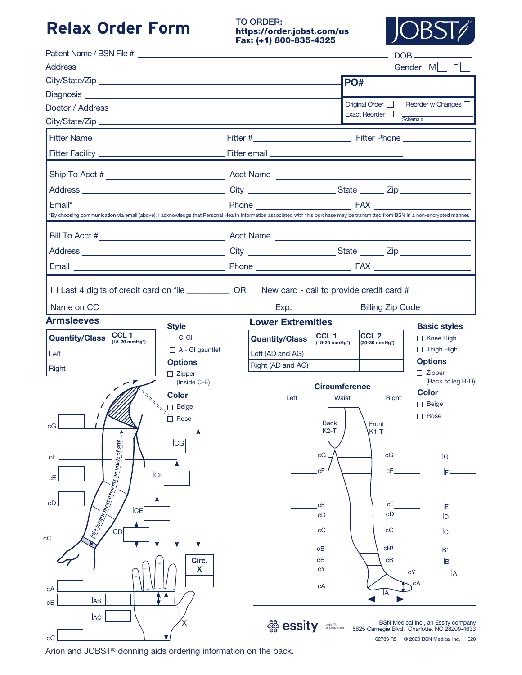### **Relax Order Form**

### TO ORDER: https://order.jobst.com/us Fax: (+1) 800-835-4325



|                                                                                                                                                                                                                                                                                                                                                                                                                                                                                                                                                                                            |                                       |                                       |                            |                                        | Gender ML F                                                                          |
|--------------------------------------------------------------------------------------------------------------------------------------------------------------------------------------------------------------------------------------------------------------------------------------------------------------------------------------------------------------------------------------------------------------------------------------------------------------------------------------------------------------------------------------------------------------------------------------------|---------------------------------------|---------------------------------------|----------------------------|----------------------------------------|--------------------------------------------------------------------------------------|
|                                                                                                                                                                                                                                                                                                                                                                                                                                                                                                                                                                                            |                                       |                                       | PO#                        |                                        |                                                                                      |
|                                                                                                                                                                                                                                                                                                                                                                                                                                                                                                                                                                                            |                                       |                                       |                            |                                        |                                                                                      |
|                                                                                                                                                                                                                                                                                                                                                                                                                                                                                                                                                                                            |                                       |                                       |                            | Original Order $\Box$<br>Exact Reorder | Reorder w Changes                                                                    |
|                                                                                                                                                                                                                                                                                                                                                                                                                                                                                                                                                                                            |                                       |                                       |                            |                                        | Schema#                                                                              |
|                                                                                                                                                                                                                                                                                                                                                                                                                                                                                                                                                                                            |                                       |                                       |                            |                                        |                                                                                      |
|                                                                                                                                                                                                                                                                                                                                                                                                                                                                                                                                                                                            |                                       |                                       |                            |                                        |                                                                                      |
|                                                                                                                                                                                                                                                                                                                                                                                                                                                                                                                                                                                            |                                       |                                       |                            |                                        |                                                                                      |
|                                                                                                                                                                                                                                                                                                                                                                                                                                                                                                                                                                                            |                                       |                                       |                            |                                        |                                                                                      |
| Email*                                                                                                                                                                                                                                                                                                                                                                                                                                                                                                                                                                                     |                                       |                                       |                            |                                        |                                                                                      |
| *By choosing communication via email (above), I acknowledge that Personal Health Information associated with this purchase may be transmitted from BSN in a non-encrypted manner.                                                                                                                                                                                                                                                                                                                                                                                                          |                                       |                                       |                            |                                        |                                                                                      |
|                                                                                                                                                                                                                                                                                                                                                                                                                                                                                                                                                                                            |                                       |                                       |                            |                                        |                                                                                      |
|                                                                                                                                                                                                                                                                                                                                                                                                                                                                                                                                                                                            |                                       |                                       |                            |                                        |                                                                                      |
|                                                                                                                                                                                                                                                                                                                                                                                                                                                                                                                                                                                            |                                       |                                       |                            |                                        |                                                                                      |
| <b>Armsleeves</b>                                                                                                                                                                                                                                                                                                                                                                                                                                                                                                                                                                          |                                       | <b>Lower Extremities</b>              |                            |                                        | Billing Zip Code _________                                                           |
| CCL <sub>1</sub>                                                                                                                                                                                                                                                                                                                                                                                                                                                                                                                                                                           | <b>Style</b>                          |                                       | CCL <sub>1</sub>           | CCL <sub>2</sub>                       | <b>Basic styles</b>                                                                  |
| <b>Quantity/Class</b><br>$(15-20 \text{ mmHg}^*)$                                                                                                                                                                                                                                                                                                                                                                                                                                                                                                                                          | $\Box$ C-GI<br>$\Box$ A - GI gauntlet | <b>Quantity/Class</b>                 | (15-20 mmHg*)              | (20-30 mmHg*)                          | $\Box$ Knee High<br>$\Box$ Thigh High                                                |
| Left                                                                                                                                                                                                                                                                                                                                                                                                                                                                                                                                                                                       | <b>Options</b>                        | Left (AD and AG)<br>Right (AD and AG) |                            |                                        | <b>Options</b>                                                                       |
| <b>Right</b>                                                                                                                                                                                                                                                                                                                                                                                                                                                                                                                                                                               | $\Box$ Zipper                         |                                       |                            |                                        | $\Box$ Zipper                                                                        |
|                                                                                                                                                                                                                                                                                                                                                                                                                                                                                                                                                                                            | (Inside C-E)<br><b>Color</b>          |                                       | <b>Circumference</b>       |                                        | (Back of leg B-D)<br><b>Color</b>                                                    |
|                                                                                                                                                                                                                                                                                                                                                                                                                                                                                                                                                                                            | $\Box$ Beige                          | Left                                  | Waist                      | Right                                  | $\Box$ Beige                                                                         |
|                                                                                                                                                                                                                                                                                                                                                                                                                                                                                                                                                                                            | <b>T</b> Rose                         |                                       | <b>Back</b>                | Front                                  | $\Box$ Rose                                                                          |
| cG<br>$\uparrow$                                                                                                                                                                                                                                                                                                                                                                                                                                                                                                                                                                           |                                       |                                       | K2-T                       | $K1-T$                                 |                                                                                      |
| $\left\langle \frac{\partial \phi_{\zeta}}{\partial x_{\zeta}} \right\rangle_{\zeta}^{2} \frac{\partial \phi_{\zeta}}{\partial x_{\zeta}} \frac{\partial \phi_{\zeta}}{\partial x_{\zeta}} \frac{\partial \phi_{\zeta}}{\partial x_{\zeta}} \frac{\partial \phi_{\zeta}}{\partial x_{\zeta}} \frac{\partial \phi_{\zeta}}{\partial x_{\zeta}} \frac{\partial \phi_{\zeta}}{\partial x_{\zeta}} \frac{\partial \phi_{\zeta}}{\partial x_{\zeta}} \frac{\partial \phi_{\zeta}}{\partial x_{\zeta}} \frac{\partial \phi_{\zeta}}{\partial x_{\zeta}} \frac{\partial \phi_{\zeta}}{\partial x$ | <b>ICG</b>                            |                                       |                            |                                        |                                                                                      |
| cF                                                                                                                                                                                                                                                                                                                                                                                                                                                                                                                                                                                         |                                       |                                       | cG                         |                                        | $cG$ and $c$<br>$\overline{G}$ $\overline{\phantom{G}}$                              |
| <b>ICF</b><br>сE                                                                                                                                                                                                                                                                                                                                                                                                                                                                                                                                                                           |                                       |                                       | cF                         | cF                                     | lF—                                                                                  |
|                                                                                                                                                                                                                                                                                                                                                                                                                                                                                                                                                                                            |                                       |                                       |                            |                                        |                                                                                      |
| cD<br><b>ICE</b>                                                                                                                                                                                                                                                                                                                                                                                                                                                                                                                                                                           |                                       |                                       | cE                         |                                        | $CE$ and $CE$ and $CE$<br>$E$ and $E$                                                |
|                                                                                                                                                                                                                                                                                                                                                                                                                                                                                                                                                                                            |                                       |                                       | cD                         | сD                                     |                                                                                      |
| сC                                                                                                                                                                                                                                                                                                                                                                                                                                                                                                                                                                                         |                                       |                                       | $_{\rm cc}$                | сC                                     | lc-                                                                                  |
|                                                                                                                                                                                                                                                                                                                                                                                                                                                                                                                                                                                            |                                       |                                       | cB <sup>1</sup>            | CB <sup>1</sup>                        |                                                                                      |
|                                                                                                                                                                                                                                                                                                                                                                                                                                                                                                                                                                                            | Circ.<br>X                            |                                       | $_{\rm cB}$<br>cΥ          | CB                                     | lв-                                                                                  |
|                                                                                                                                                                                                                                                                                                                                                                                                                                                                                                                                                                                            |                                       |                                       |                            |                                        | cY<br>сA                                                                             |
| сA                                                                                                                                                                                                                                                                                                                                                                                                                                                                                                                                                                                         |                                       |                                       | cA                         | ΙA                                     |                                                                                      |
| lab<br>cB                                                                                                                                                                                                                                                                                                                                                                                                                                                                                                                                                                                  |                                       |                                       |                            |                                        |                                                                                      |
| <b>AC</b>                                                                                                                                                                                                                                                                                                                                                                                                                                                                                                                                                                                  |                                       | essity                                | JOBST®,<br>an Essity brand |                                        | BSN Medical Inc., an Essity company                                                  |
| cC                                                                                                                                                                                                                                                                                                                                                                                                                                                                                                                                                                                         |                                       |                                       |                            |                                        | 5825 Carnegie Blvd. Charlotte, NC 28209-4633<br>62733 R5 © 2020 BSN Medical Inc. E20 |

Arion and JOBST® donning aids ordering information on the back.